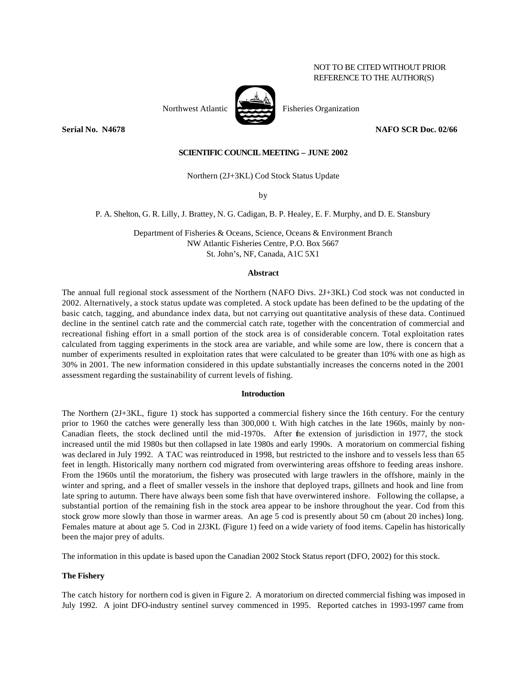# NOT TO BE CITED WITHOUT PRIOR REFERENCE TO THE AUTHOR(S)

**Serial No. N4678 NAFO SCR Doc. 02/66** 

## **SCIENTIFIC COUNCIL MEETING – JUNE 2002**

Northern (2J+3KL) Cod Stock Status Update

by

P. A. Shelton, G. R. Lilly, J. Brattey, N. G. Cadigan, B. P. Healey, E. F. Murphy, and D. E. Stansbury

Department of Fisheries & Oceans, Science, Oceans & Environment Branch NW Atlantic Fisheries Centre, P.O. Box 5667 St. John's, NF, Canada, A1C 5X1

## **Abstract**

The annual full regional stock assessment of the Northern (NAFO Divs. 2J+3KL) Cod stock was not conducted in 2002. Alternatively, a stock status update was completed. A stock update has been defined to be the updating of the basic catch, tagging, and abundance index data, but not carrying out quantitative analysis of these data. Continued decline in the sentinel catch rate and the commercial catch rate, together with the concentration of commercial and recreational fishing effort in a small portion of the stock area is of considerable concern. Total exploitation rates calculated from tagging experiments in the stock area are variable, and while some are low, there is concern that a number of experiments resulted in exploitation rates that were calculated to be greater than 10% with one as high as 30% in 2001. The new information considered in this update substantially increases the concerns noted in the 2001 assessment regarding the sustainability of current levels of fishing.

#### **Introduction**

The Northern (2J+3KL, figure 1) stock has supported a commercial fishery since the 16th century. For the century prior to 1960 the catches were generally less than 300,000 t. With high catches in the late 1960s, mainly by non-Canadian fleets, the stock declined until the mid-1970s. After the extension of jurisdiction in 1977, the stock increased until the mid 1980s but then collapsed in late 1980s and early 1990s. A moratorium on commercial fishing was declared in July 1992. A TAC was reintroduced in 1998, but restricted to the inshore and to vessels less than 65 feet in length. Historically many northern cod migrated from overwintering areas offshore to feeding areas inshore. From the 1960s until the moratorium, the fishery was prosecuted with large trawlers in the offshore, mainly in the winter and spring, and a fleet of smaller vessels in the inshore that deployed traps, gillnets and hook and line from late spring to autumn. There have always been some fish that have overwintered inshore. Following the collapse, a substantial portion of the remaining fish in the stock area appear to be inshore throughout the year. Cod from this stock grow more slowly than those in warmer areas. An age 5 cod is presently about 50 cm (about 20 inches) long. Females mature at about age 5. Cod in 2J3KL (Figure 1) feed on a wide variety of food items. Capelin has historically been the major prey of adults.

The information in this update is based upon the Canadian 2002 Stock Status report (DFO, 2002) for this stock.

### **The Fishery**

The catch history for northern cod is given in Figure 2. A moratorium on directed commercial fishing was imposed in July 1992. A joint DFO-industry sentinel survey commenced in 1995. Reported catches in 1993-1997 came from

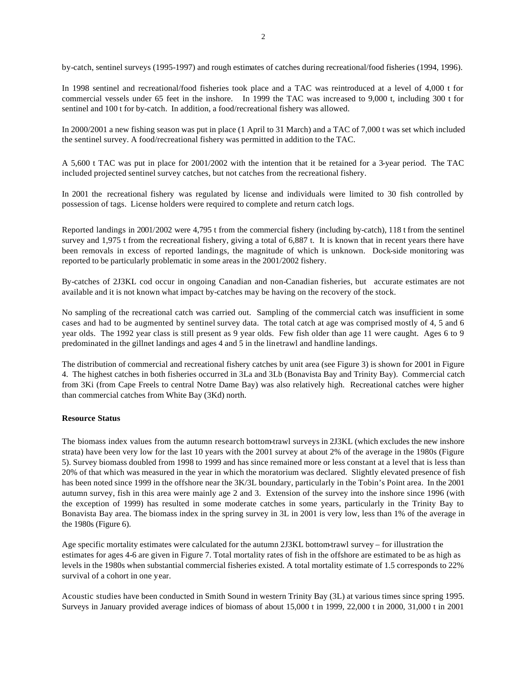by-catch, sentinel surveys (1995-1997) and rough estimates of catches during recreational/food fisheries (1994, 1996).

In 1998 sentinel and recreational/food fisheries took place and a TAC was reintroduced at a level of 4,000 t for commercial vessels under 65 feet in the inshore. In 1999 the TAC was increased to 9,000 t, including 300 t for sentinel and 100 t for by-catch. In addition, a food/recreational fishery was allowed.

In 2000/2001 a new fishing season was put in place (1 April to 31 March) and a TAC of 7,000 t was set which included the sentinel survey. A food/recreational fishery was permitted in addition to the TAC.

A 5,600 t TAC was put in place for 2001/2002 with the intention that it be retained for a 3-year period. The TAC included projected sentinel survey catches, but not catches from the recreational fishery.

In 2001 the recreational fishery was regulated by license and individuals were limited to 30 fish controlled by possession of tags. License holders were required to complete and return catch logs.

Reported landings in 2001/2002 were 4,795 t from the commercial fishery (including by-catch), 118 t from the sentinel survey and 1,975 t from the recreational fishery, giving a total of 6,887 t. It is known that in recent years there have been removals in excess of reported landings, the magnitude of which is unknown. Dock-side monitoring was reported to be particularly problematic in some areas in the 2001/2002 fishery.

By-catches of 2J3KL cod occur in ongoing Canadian and non-Canadian fisheries, but accurate estimates are not available and it is not known what impact by-catches may be having on the recovery of the stock.

No sampling of the recreational catch was carried out. Sampling of the commercial catch was insufficient in some cases and had to be augmented by sentinel survey data. The total catch at age was comprised mostly of 4, 5 and 6 year olds. The 1992 year class is still present as 9 year olds. Few fish older than age 11 were caught. Ages 6 to 9 predominated in the gillnet landings and ages 4 and 5 in the linetrawl and handline landings.

The distribution of commercial and recreational fishery catches by unit area (see Figure 3) is shown for 2001 in Figure 4. The highest catches in both fisheries occurred in 3La and 3Lb (Bonavista Bay and Trinity Bay). Commercial catch from 3Ki (from Cape Freels to central Notre Dame Bay) was also relatively high. Recreational catches were higher than commercial catches from White Bay (3Kd) north.

# **Resource Status**

The biomass index values from the autumn research bottom-trawl surveys in 2J3KL (which excludes the new inshore strata) have been very low for the last 10 years with the 2001 survey at about 2% of the average in the 1980s (Figure 5). Survey biomass doubled from 1998 to 1999 and has since remained more or less constant at a level that is less than 20% of that which was measured in the year in which the moratorium was declared. Slightly elevated presence of fish has been noted since 1999 in the offshore near the 3K/3L boundary, particularly in the Tobin's Point area. In the 2001 autumn survey, fish in this area were mainly age 2 and 3. Extension of the survey into the inshore since 1996 (with the exception of 1999) has resulted in some moderate catches in some years, particularly in the Trinity Bay to Bonavista Bay area. The biomass index in the spring survey in 3L in 2001 is very low, less than 1% of the average in the 1980s (Figure 6).

Age specific mortality estimates were calculated for the autumn 2J3KL bottom-trawl survey – for illustration the estimates for ages 4-6 are given in Figure 7. Total mortality rates of fish in the offshore are estimated to be as high as levels in the 1980s when substantial commercial fisheries existed. A total mortality estimate of 1.5 corresponds to 22% survival of a cohort in one year.

Acoustic studies have been conducted in Smith Sound in western Trinity Bay (3L) at various times since spring 1995. Surveys in January provided average indices of biomass of about 15,000 t in 1999, 22,000 t in 2000, 31,000 t in 2001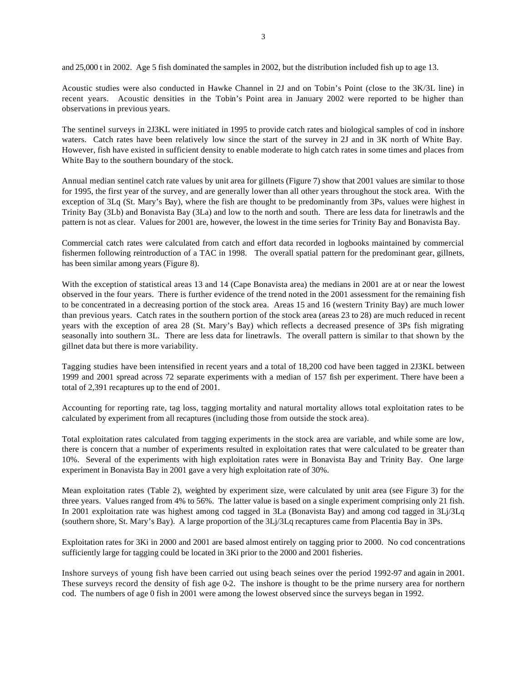and 25,000 t in 2002. Age 5 fish dominated the samples in 2002, but the distribution included fish up to age 13.

Acoustic studies were also conducted in Hawke Channel in 2J and on Tobin's Point (close to the 3K/3L line) in recent years. Acoustic densities in the Tobin's Point area in January 2002 were reported to be higher than observations in previous years.

The sentinel surveys in 2J3KL were initiated in 1995 to provide catch rates and biological samples of cod in inshore waters. Catch rates have been relatively low since the start of the survey in 2J and in 3K north of White Bay. However, fish have existed in sufficient density to enable moderate to high catch rates in some times and places from White Bay to the southern boundary of the stock.

Annual median sentinel catch rate values by unit area for gillnets (Figure 7) show that 2001 values are similar to those for 1995, the first year of the survey, and are generally lower than all other years throughout the stock area. With the exception of 3Lq (St. Mary's Bay), where the fish are thought to be predominantly from 3Ps, values were highest in Trinity Bay (3Lb) and Bonavista Bay (3La) and low to the north and south. There are less data for linetrawls and the pattern is not as clear. Values for 2001 are, however, the lowest in the time series for Trinity Bay and Bonavista Bay.

Commercial catch rates were calculated from catch and effort data recorded in logbooks maintained by commercial fishermen following reintroduction of a TAC in 1998. The overall spatial pattern for the predominant gear, gillnets, has been similar among years (Figure 8).

With the exception of statistical areas 13 and 14 (Cape Bonavista area) the medians in 2001 are at or near the lowest observed in the four years. There is further evidence of the trend noted in the 2001 assessment for the remaining fish to be concentrated in a decreasing portion of the stock area. Areas 15 and 16 (western Trinity Bay) are much lower than previous years. Catch rates in the southern portion of the stock area (areas 23 to 28) are much reduced in recent years with the exception of area 28 (St. Mary's Bay) which reflects a decreased presence of 3Ps fish migrating seasonally into southern 3L. There are less data for linetrawls. The overall pattern is similar to that shown by the gillnet data but there is more variability.

Tagging studies have been intensified in recent years and a total of 18,200 cod have been tagged in 2J3KL between 1999 and 2001 spread across 72 separate experiments with a median of 157 fish per experiment. There have been a total of 2,391 recaptures up to the end of 2001.

Accounting for reporting rate, tag loss, tagging mortality and natural mortality allows total exploitation rates to be calculated by experiment from all recaptures (including those from outside the stock area).

Total exploitation rates calculated from tagging experiments in the stock area are variable, and while some are low, there is concern that a number of experiments resulted in exploitation rates that were calculated to be greater than 10%. Several of the experiments with high exploitation rates were in Bonavista Bay and Trinity Bay. One large experiment in Bonavista Bay in 2001 gave a very high exploitation rate of 30%.

Mean exploitation rates (Table 2), weighted by experiment size, were calculated by unit area (see Figure 3) for the three years. Values ranged from 4% to 56%. The latter value is based on a single experiment comprising only 21 fish. In 2001 exploitation rate was highest among cod tagged in 3La (Bonavista Bay) and among cod tagged in 3Lj/3Lq (southern shore, St. Mary's Bay). A large proportion of the 3Lj/3Lq recaptures came from Placentia Bay in 3Ps.

Exploitation rates for 3Ki in 2000 and 2001 are based almost entirely on tagging prior to 2000. No cod concentrations sufficiently large for tagging could be located in 3Ki prior to the 2000 and 2001 fisheries.

Inshore surveys of young fish have been carried out using beach seines over the period 1992-97 and again in 2001. These surveys record the density of fish age 0-2. The inshore is thought to be the prime nursery area for northern cod. The numbers of age 0 fish in 2001 were among the lowest observed since the surveys began in 1992.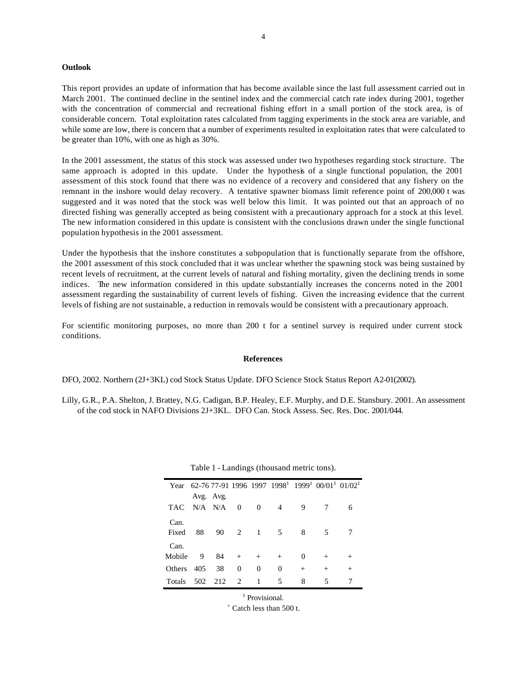#### **Outlook**

This report provides an update of information that has become available since the last full assessment carried out in March 2001. The continued decline in the sentinel index and the commercial catch rate index during 2001, together with the concentration of commercial and recreational fishing effort in a small portion of the stock area, is of considerable concern. Total exploitation rates calculated from tagging experiments in the stock area are variable, and while some are low, there is concern that a number of experiments resulted in exploitation rates that were calculated to be greater than 10%, with one as high as 30%.

In the 2001 assessment, the status of this stock was assessed under two hypotheses regarding stock structure. The same approach is adopted in this update. Under the hypothesis of a single functional population, the 2001 assessment of this stock found that there was no evidence of a recovery and considered that any fishery on the remnant in the inshore would delay recovery. A tentative spawner biomass limit reference point of 200,000 t was suggested and it was noted that the stock was well below this limit. It was pointed out that an approach of no directed fishing was generally accepted as being consistent with a precautionary approach for a stock at this level. The new information considered in this update is consistent with the conclusions drawn under the single functional population hypothesis in the 2001 assessment.

Under the hypothesis that the inshore constitutes a subpopulation that is functionally separate from the offshore, the 2001 assessment of this stock concluded that it was unclear whether the spawning stock was being sustained by recent levels of recruitment, at the current levels of natural and fishing mortality, given the declining trends in some indices. The new information considered in this update substantially increases the concerns noted in the 2001 assessment regarding the sustainability of current levels of fishing. Given the increasing evidence that the current levels of fishing are not sustainable, a reduction in removals would be consistent with a precautionary approach.

For scientific monitoring purposes, no more than 200 t for a sentinel survey is required under current stock conditions.

#### **References**

DFO, 2002. Northern (2J+3KL) cod Stock Status Update. DFO Science Stock Status Report A2-01(2002).

Lilly, G.R., P.A. Shelton, J. Brattey, N.G. Cadigan, B.P. Healey, E.F. Murphy, and D.E. Stansbury. 2001. An assessment of the cod stock in NAFO Divisions 2J+3KL. DFO Can. Stock Assess. Sec. Res. Doc. 2001/044.

| Year          |               |     |                             |          |          |          | 62-76 77-91 1996 1997 1998 <sup>1</sup> 1999 <sup>1</sup> 00/01 <sup>1</sup> 01/02 <sup>1</sup> |        |
|---------------|---------------|-----|-----------------------------|----------|----------|----------|-------------------------------------------------------------------------------------------------|--------|
|               | Avg. Avg.     |     |                             |          |          |          |                                                                                                 |        |
| TAC.          | $N/A$ $N/A$ 0 |     |                             | - 0      | 4        | 9        |                                                                                                 | 6      |
| Can.          |               |     |                             |          |          |          |                                                                                                 |        |
| Fixed         | 88            |     | 90 2 1                      |          | - 5      | 8        | 5.                                                                                              |        |
| Can.          |               |     |                             |          |          |          |                                                                                                 |        |
| Mobile        | 9             | 84  | $+$                         | $^{+}$   | $^{+}$   | $\theta$ |                                                                                                 |        |
| <b>Others</b> | 405           | 38  | $\Omega$                    | $\Omega$ | $\theta$ | $^+$     | $^{+}$                                                                                          | $^{+}$ |
| <b>Totals</b> | 502           | 212 | $\mathcal{D}_{\mathcal{L}}$ | 1        | 5        | 8        | 5                                                                                               |        |

Table 1 - Landings (thousand metric tons).

<sup>1</sup> Provisional.

+ Catch less than 500 t.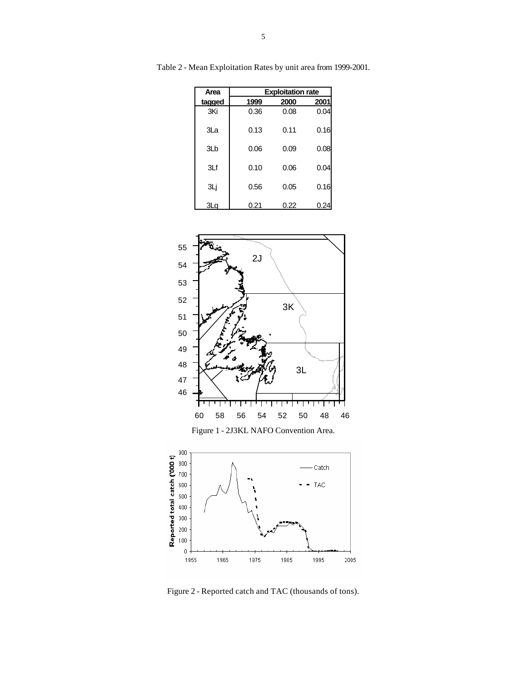| Area   | <b>Exploitation rate</b> |      |      |  |  |  |
|--------|--------------------------|------|------|--|--|--|
| tagged | 1999                     | 2000 | 2001 |  |  |  |
| 3Ki    | 0.36                     | 0.08 | 0.04 |  |  |  |
| 3La    | 0.13                     | 0.11 | 0.16 |  |  |  |
| 3Lb    | 0.06                     | 0.09 | 0.08 |  |  |  |
| 3Lf    | 0.10                     | 0.06 | 0.04 |  |  |  |
| ЗLj    | 0.56                     | 0.05 | 0.16 |  |  |  |
| 3La    | 0.21                     | 0.22 | 0.25 |  |  |  |

Table 2 - Mean Exploitation Rates by unit area from 1999-2001.



Figure 2 - Reported catch and TAC (thousands of tons).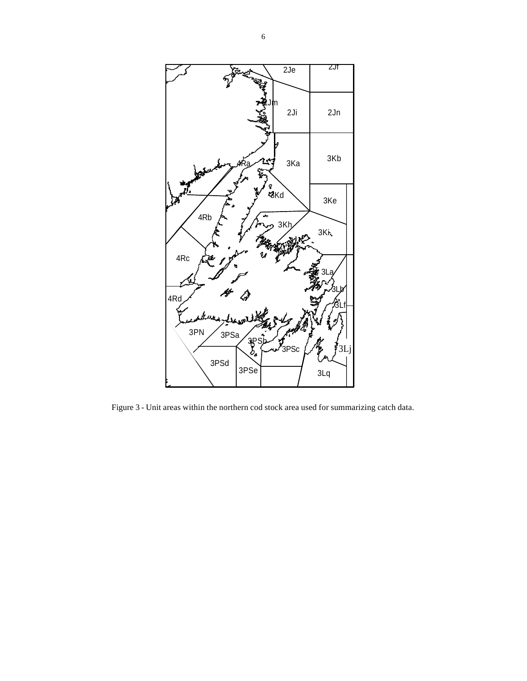

Figure 3 - Unit areas within the northern cod stock area used for summarizing catch data.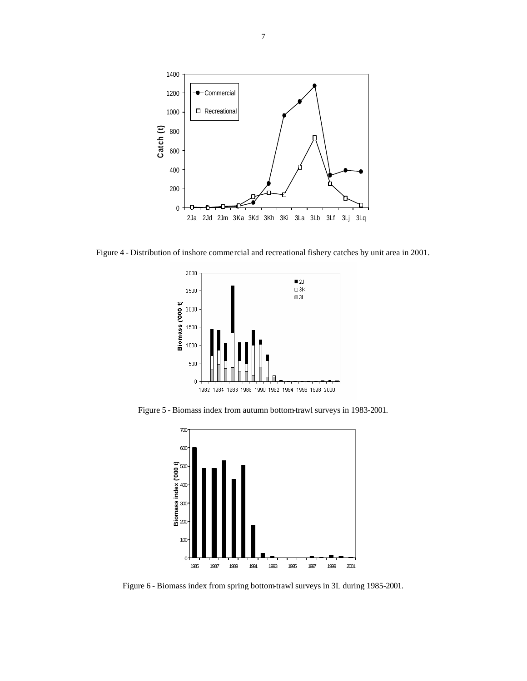

Figure 4 - Distribution of inshore commercial and recreational fishery catches by unit area in 2001.



Figure 5 - Biomass index from autumn bottom-trawl surveys in 1983-2001.



Figure 6 - Biomass index from spring bottom-trawl surveys in 3L during 1985-2001.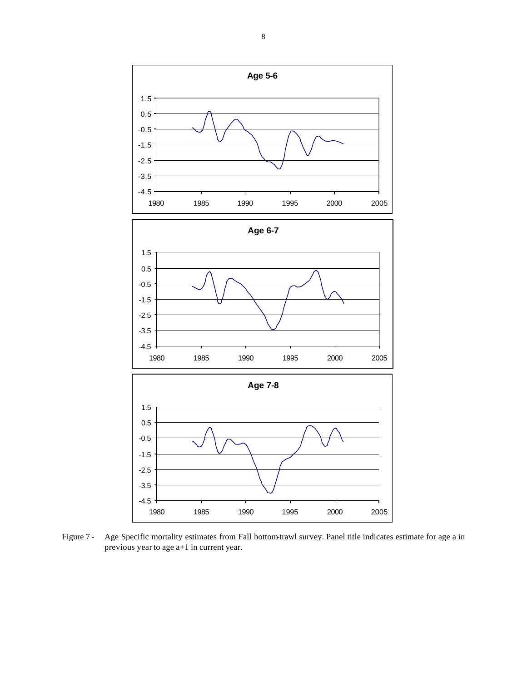

Figure 7 - Age Specific mortality estimates from Fall bottom-trawl survey. Panel title indicates estimate for age a in previous year to age a+1 in current year.